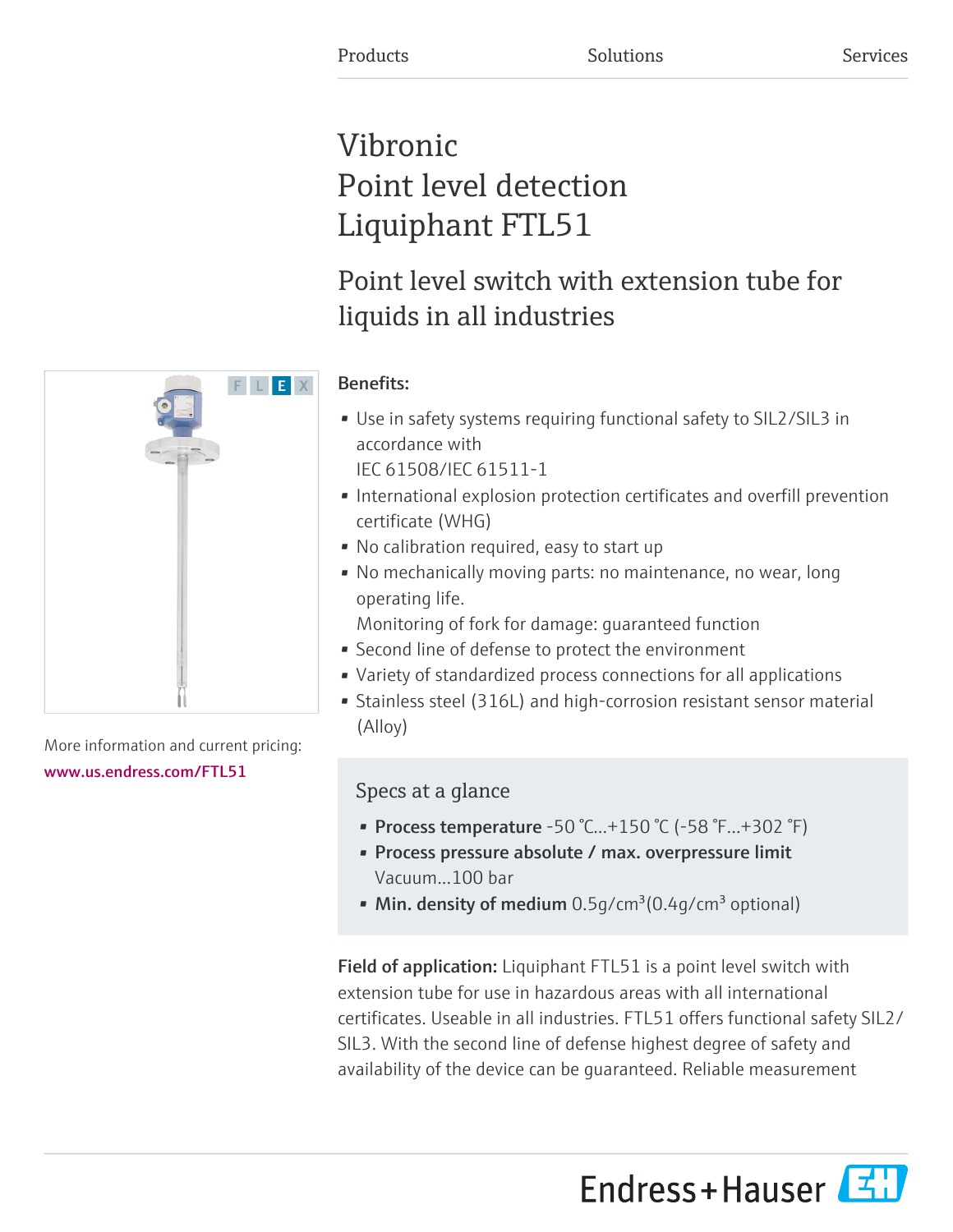# Vibronic Point level detection Liquiphant FTL51

# Point level switch with extension tube for liquids in all industries



# More information and current pricing:

### [www.us.endress.com/FTL51](https://www.us.endress.com/FTL51)

# Benefits:

- Use in safety systems requiring functional safety to SIL2/SIL3 in accordance with IEC 61508/IEC 61511-1
- International explosion protection certificates and overfill prevention certificate (WHG)
- No calibration required, easy to start up
- No mechanically moving parts: no maintenance, no wear, long operating life.

Monitoring of fork for damage: guaranteed function

- Second line of defense to protect the environment
- Variety of standardized process connections for all applications
- Stainless steel (316L) and high-corrosion resistant sensor material (Alloy)

# Specs at a glance

- Process temperature -50 °C...+150 °C (-58 °F...+302 °F)
- Process pressure absolute / max. overpressure limit Vacuum...100 bar
- Min. density of medium  $0.5q/cm^3(0.4q/cm^3$  optional)

Field of application: Liquiphant FTL51 is a point level switch with extension tube for use in hazardous areas with all international certificates. Useable in all industries. FTL51 offers functional safety SIL2/ SIL3. With the second line of defense highest degree of safety and availability of the device can be guaranteed. Reliable measurement

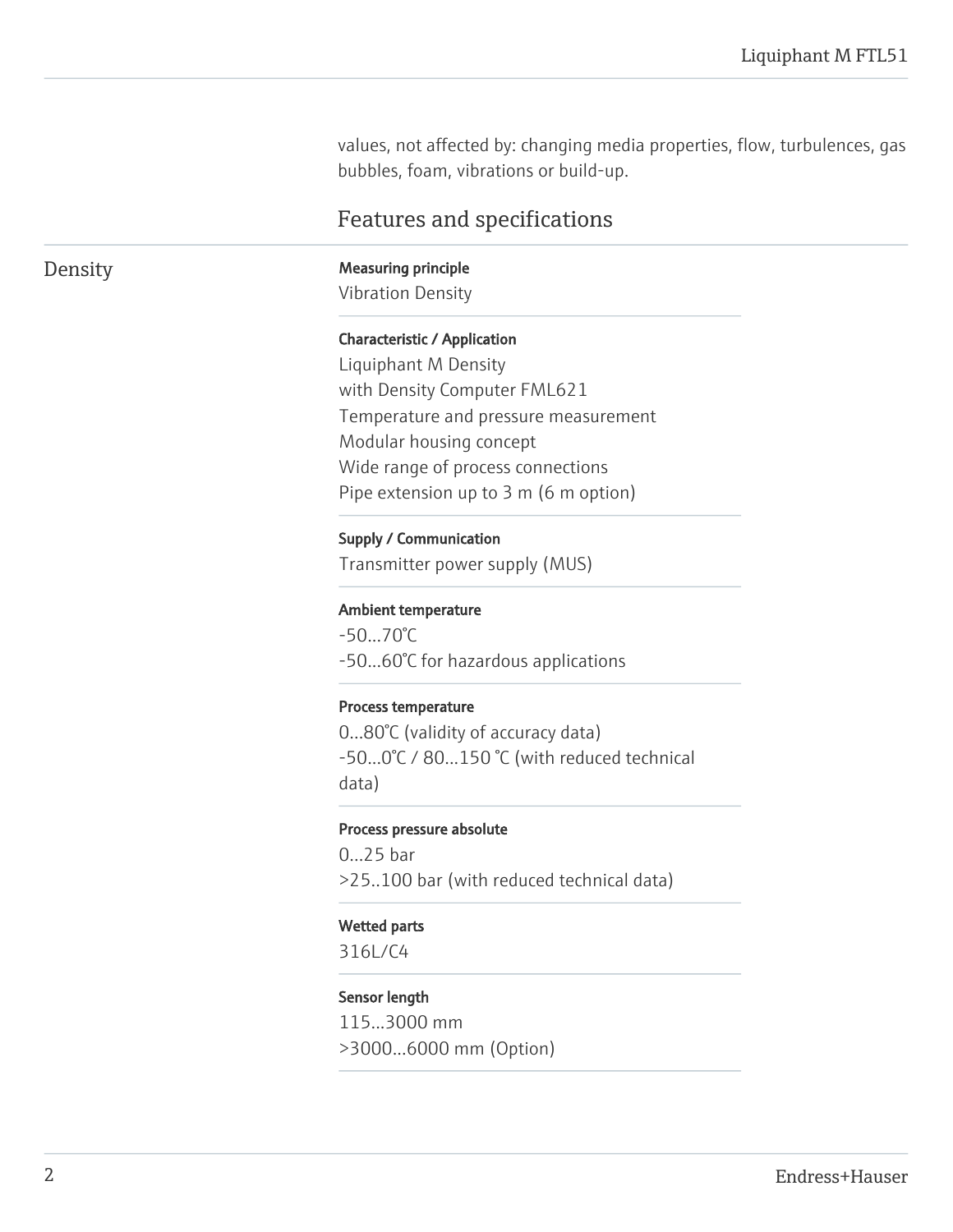values, not affected by: changing media properties, flow, turbulences, gas bubbles, foam, vibrations or build-up.

# Features and specifications

Density Measuring principle

Vibration Density

#### Characteristic / Application

Liquiphant M Density with Density Computer FML621 Temperature and pressure measurement Modular housing concept Wide range of process connections Pipe extension up to 3 m (6 m option)

#### Supply / Communication

Transmitter power supply (MUS)

#### Ambient temperature

-50...70°C -50...60°C for hazardous applications

#### Process temperature

0...80°C (validity of accuracy data) -50...0°C / 80...150 °C (with reduced technical data)

#### Process pressure absolute

0...25 bar >25..100 bar (with reduced technical data)

#### Wetted parts

316L/C4

#### Sensor length

115...3000 mm >3000...6000 mm (Option)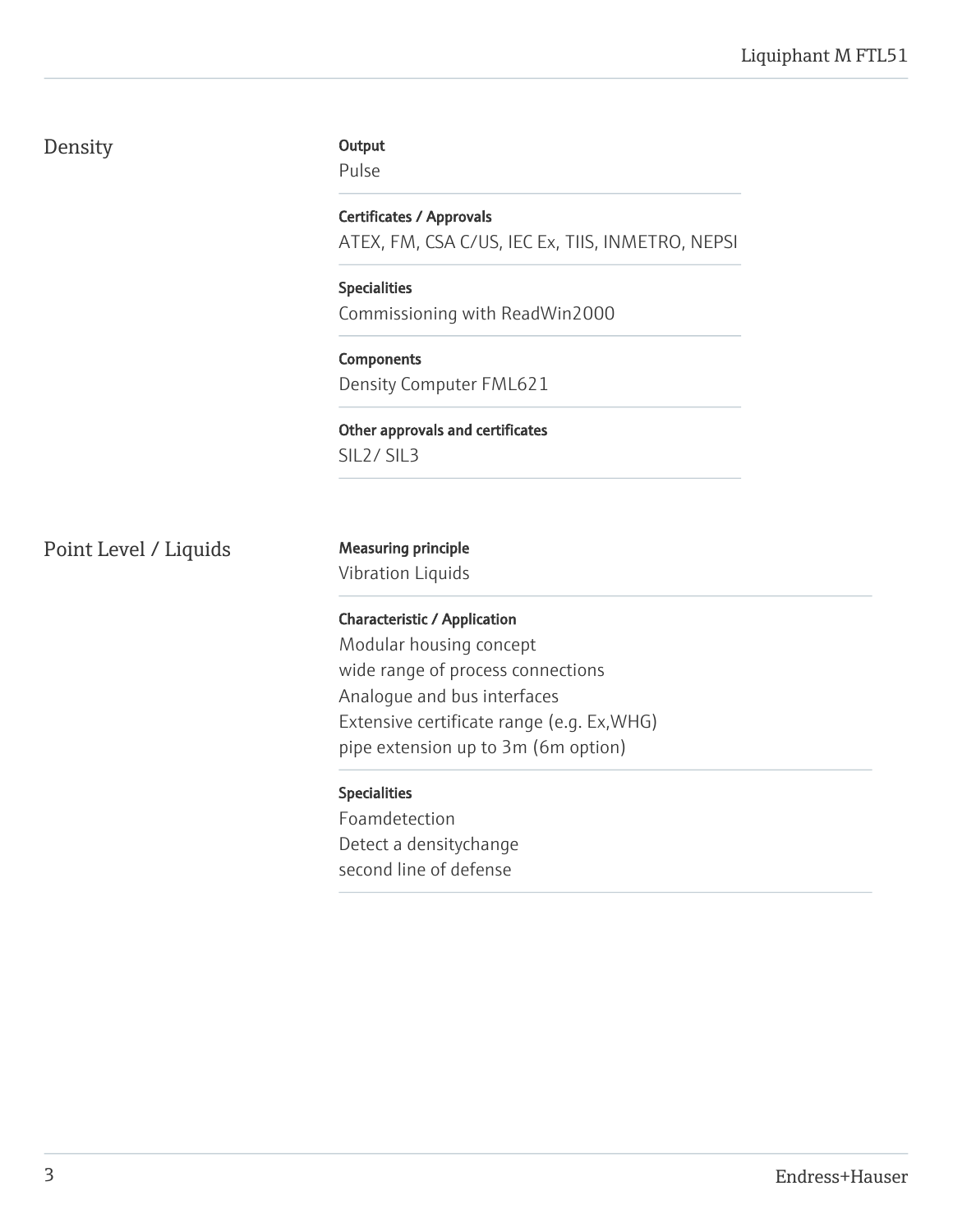# Density

#### **Output**

Pulse

Certificates / Approvals ATEX, FM, CSA C/US, IEC Ex, TIIS, INMETRO, NEPSI

Specialities Commissioning with ReadWin2000

Components Density Computer FML621

Other approvals and certificates SIL2/ SIL3

Point Level / Liquids Measuring principle

Vibration Liquids

### Characteristic / Application

Modular housing concept wide range of process connections Analogue and bus interfaces Extensive certificate range (e.g. Ex,WHG) pipe extension up to 3m (6m option)

### Specialities

Foamdetection Detect a densitychange second line of defense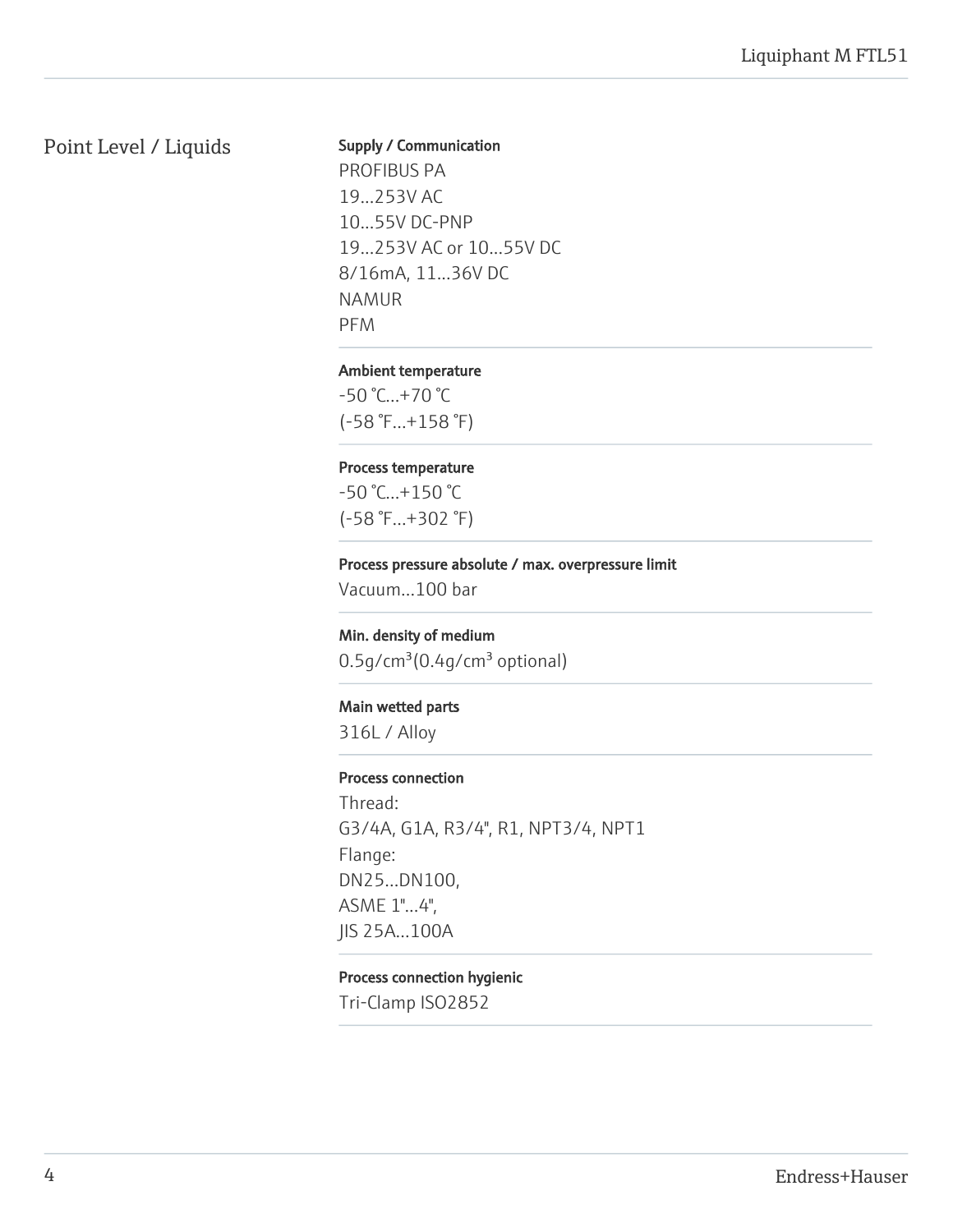# Point Level / Liquids

#### Supply / Communication

PROFIBUS PA 19...253V AC 10...55V DC-PNP 19...253V AC or 10...55V DC 8/16mA, 11...36V DC NAMUR PFM

#### Ambient temperature

-50 °C...+70 °C (-58 °F...+158 °F)

#### Process temperature

-50 °C...+150 °C (-58 °F...+302 °F)

#### Process pressure absolute / max. overpressure limit

Vacuum...100 bar

#### Min. density of medium

 $0.5$ g/cm $3(0.4$ g/cm $3$  optional)

#### Main wetted parts

316L / Alloy

#### Process connection

Thread: G3/4A, G1A, R3/4", R1, NPT3/4, NPT1 Flange: DN25...DN100, ASME 1"...4", JIS 25A...100A

#### Process connection hygienic

Tri-Clamp ISO2852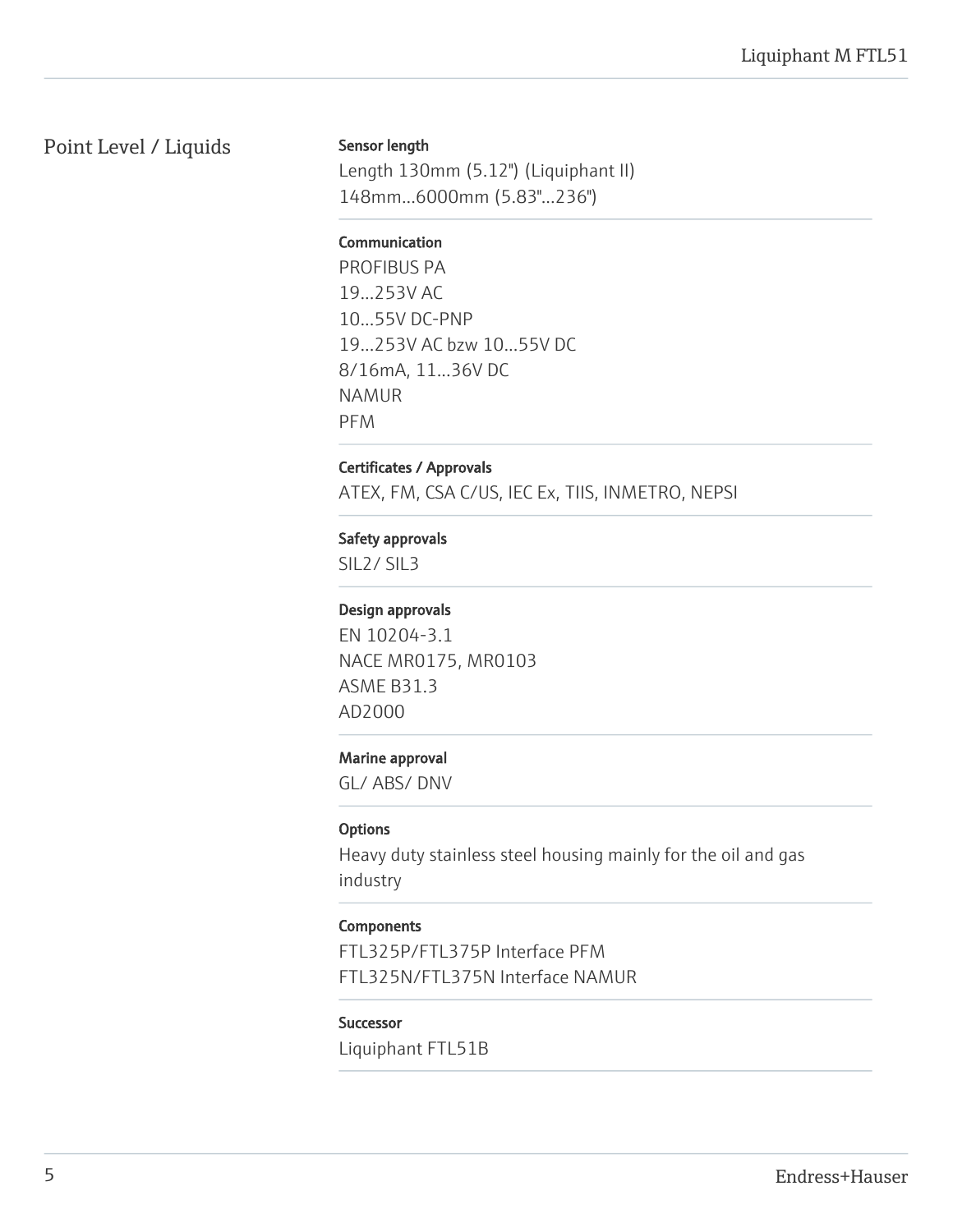# Point Level / Liquids

#### Sensor length

Length 130mm (5.12") (Liquiphant II) 148mm...6000mm (5.83"...236")

#### **Communication**

PROFIBUS PA 19...253V AC 10...55V DC-PNP 19...253V AC bzw 10...55V DC 8/16mA, 11...36V DC NAMUR PFM

#### Certificates / Approvals

ATEX, FM, CSA C/US, IEC Ex, TIIS, INMETRO, NEPSI

#### Safety approvals

SIL2/ SIL3

#### Design approvals

EN 10204-3.1 NACE MR0175, MR0103 ASME B31.3 AD2000

#### Marine approval

GL/ ABS/ DNV

#### **Options**

Heavy duty stainless steel housing mainly for the oil and gas industry

#### **Components**

FTL325P/FTL375P Interface PFM FTL325N/FTL375N Interface NAMUR

#### Successor

Liquiphant FTL51B